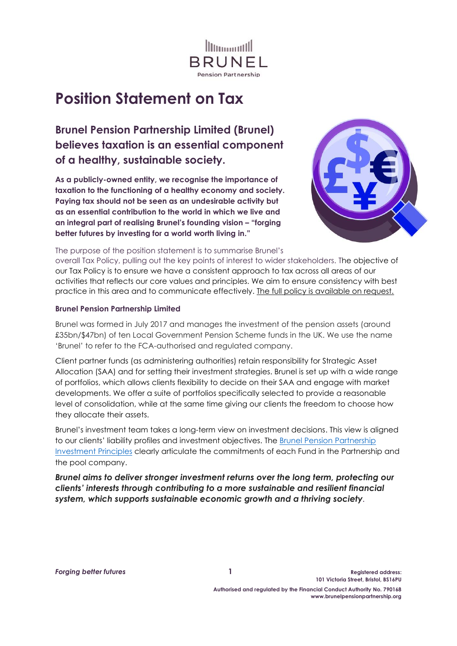

# **Position Statement on Tax**

## **Brunel Pension Partnership Limited (Brunel) believes taxation is an essential component of a healthy, sustainable society.**

**As a publicly-owned entity, we recognise the importance of taxation to the functioning of a healthy economy and society. Paying tax should not be seen as an undesirable activity but as an essential contribution to the world in which we live and an integral part of realising Brunel's founding vision – "forging better futures by investing for a world worth living in."**



The purpose of the position statement is to summarise Brunel's

overall Tax Policy, pulling out the key points of interest to wider stakeholders. The objective of our Tax Policy is to ensure we have a consistent approach to tax across all areas of our activities that reflects our core values and principles. We aim to ensure consistency with best practice in this area and to communicate effectively. The full policy is available on request.

#### **Brunel Pension Partnership Limited**

Brunel was formed in July 2017 and manages the investment of the pension assets (around £35bn/\$47bn) of ten Local Government Pension Scheme funds in the UK. We use the name 'Brunel' to refer to the FCA-authorised and regulated company.

Client partner funds (as administering authorities) retain responsibility for Strategic Asset Allocation (SAA) and for setting their investment strategies. Brunel is set up with a wide range of portfolios, which allows clients flexibility to decide on their SAA and engage with market developments. We offer a suite of portfolios specifically selected to provide a reasonable level of consolidation, while at the same time giving our clients the freedom to choose how they allocate their assets.

Brunel's investment team takes a long-term view on investment decisions. This view is aligned to our clients' liability profiles and investment objectives. The [Brunel Pension Partnership](https://www.brunelpensionpartnership.org/values/investment-principles/)  [Investment Principles](https://www.brunelpensionpartnership.org/values/investment-principles/) clearly articulate the commitments of each Fund in the Partnership and the pool company.

*Brunel aims to deliver stronger investment returns over the long term, protecting our clients' interests through contributing to a more sustainable and resilient financial system, which supports sustainable economic growth and a thriving society.*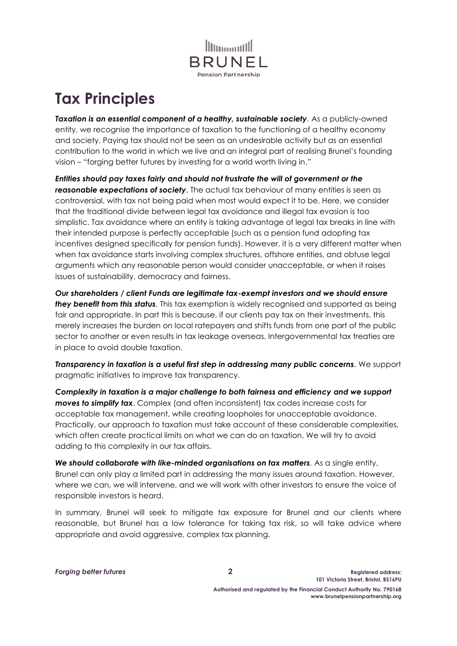

# **Tax Principles**

*Taxation is an essential component of a healthy, sustainable society.* As a publicly-owned entity, we recognise the importance of taxation to the functioning of a healthy economy and society. Paying tax should not be seen as an undesirable activity but as an essential contribution to the world in which we live and an integral part of realising Brunel's founding vision – "forging better futures by investing for a world worth living in."

*Entities should pay taxes fairly and should not frustrate the will of government or the reasonable expectations of society*. The actual tax behaviour of many entities is seen as controversial, with tax not being paid when most would expect it to be. Here, we consider that the traditional divide between legal tax avoidance and illegal tax evasion is too simplistic. Tax avoidance where an entity is taking advantage of legal tax breaks in line with their intended purpose is perfectly acceptable (such as a pension fund adopting tax incentives designed specifically for pension funds). However, it is a very different matter when when tax avoidance starts involving complex structures, offshore entities, and obtuse legal arguments which any reasonable person would consider unacceptable, or when it raises issues of sustainability, democracy and fairness.

*Our shareholders / client Funds are legitimate tax-exempt investors and we should ensure*  **they benefit from this status**. This tax exemption is widely recognised and supported as being fair and appropriate. In part this is because, if our clients pay tax on their investments, this merely increases the burden on local ratepayers and shifts funds from one part of the public sector to another or even results in tax leakage overseas. Intergovernmental tax treaties are in place to avoid double taxation.

*Transparency in taxation is a useful first step in addressing many public concerns.* We support pragmatic initiatives to improve tax transparency.

*Complexity in taxation is a major challenge to both fairness and efficiency and we support moves to simplify tax*. Complex (and often inconsistent) tax codes increase costs for acceptable tax management, while creating loopholes for unacceptable avoidance. Practically, our approach to taxation must take account of these considerable complexities, which often create practical limits on what we can do on taxation. We will try to avoid adding to this complexity in our tax affairs.

*We should collaborate with like-minded organisations on tax matters.* As a single entity, Brunel can only play a limited part in addressing the many issues around taxation. However, where we can, we will intervene, and we will work with other investors to ensure the voice of responsible investors is heard.

In summary, Brunel will seek to mitigate tax exposure for Brunel and our clients where reasonable, but Brunel has a low tolerance for taking tax risk, so will take advice where appropriate and avoid aggressive, complex tax planning.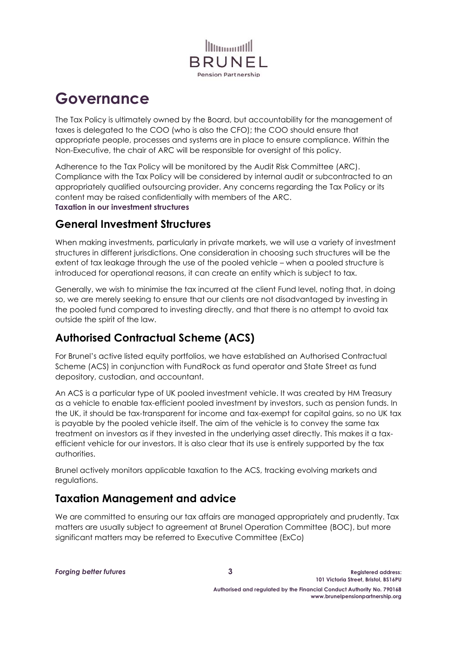

# **Governance**

The Tax Policy is ultimately owned by the Board, but accountability for the management of taxes is delegated to the COO (who is also the CFO); the COO should ensure that appropriate people, processes and systems are in place to ensure compliance. Within the Non-Executive, the chair of ARC will be responsible for oversight of this policy.

Adherence to the Tax Policy will be monitored by the Audit Risk Committee (ARC). Compliance with the Tax Policy will be considered by internal audit or subcontracted to an appropriately qualified outsourcing provider. Any concerns regarding the Tax Policy or its content may be raised confidentially with members of the ARC. **Taxation in our investment structures**

### **General Investment Structures**

When making investments, particularly in private markets, we will use a variety of investment structures in different jurisdictions. One consideration in choosing such structures will be the extent of tax leakage through the use of the pooled vehicle – when a pooled structure is introduced for operational reasons, it can create an entity which is subject to tax.

Generally, we wish to minimise the tax incurred at the client Fund level, noting that, in doing so, we are merely seeking to ensure that our clients are not disadvantaged by investing in the pooled fund compared to investing directly, and that there is no attempt to avoid tax outside the spirit of the law.

## **Authorised Contractual Scheme (ACS)**

For Brunel's active listed equity portfolios, we have established an Authorised Contractual Scheme (ACS) in conjunction with FundRock as fund operator and State Street as fund depository, custodian, and accountant.

An ACS is a particular type of UK pooled investment vehicle. It was created by HM Treasury as a vehicle to enable tax-efficient pooled investment by investors, such as pension funds. In the UK, it should be tax-transparent for income and tax-exempt for capital gains, so no UK tax is payable by the pooled vehicle itself. The aim of the vehicle is to convey the same tax treatment on investors as if they invested in the underlying asset directly. This makes it a taxefficient vehicle for our investors. It is also clear that its use is entirely supported by the tax authorities.

Brunel actively monitors applicable taxation to the ACS, tracking evolving markets and regulations.

#### **Taxation Management and advice**

We are committed to ensuring our tax affairs are managed appropriately and prudently. Tax matters are usually subject to agreement at Brunel Operation Committee (BOC), but more significant matters may be referred to Executive Committee (ExCo)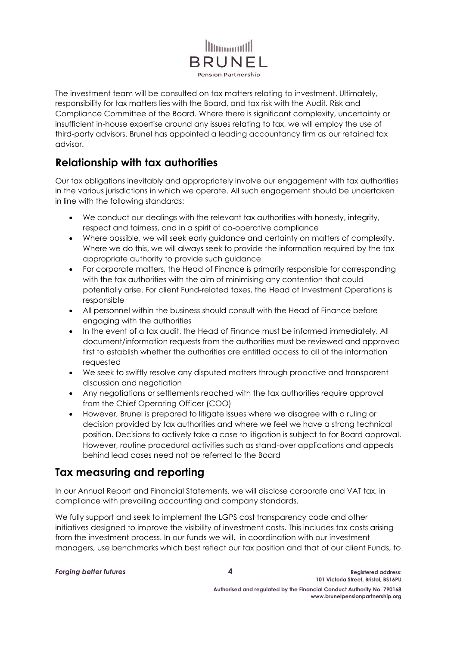

The investment team will be consulted on tax matters relating to investment. Ultimately, responsibility for tax matters lies with the Board, and tax risk with the Audit. Risk and Compliance Committee of the Board. Where there is significant complexity, uncertainty or insufficient in-house expertise around any issues relating to tax, we will employ the use of third-party advisors. Brunel has appointed a leading accountancy firm as our retained tax advisor.

### **Relationship with tax authorities**

Our tax obligations inevitably and appropriately involve our engagement with tax authorities in the various jurisdictions in which we operate. All such engagement should be undertaken in line with the following standards:

- We conduct our dealings with the relevant tax authorities with honesty, integrity, respect and fairness, and in a spirit of co-operative compliance
- Where possible, we will seek early guidance and certainty on matters of complexity. Where we do this, we will always seek to provide the information required by the tax appropriate authority to provide such guidance
- For corporate matters, the Head of Finance is primarily responsible for corresponding with the tax authorities with the aim of minimising any contention that could potentially arise. For client Fund-related taxes, the Head of Investment Operations is responsible
- All personnel within the business should consult with the Head of Finance before engaging with the authorities
- In the event of a tax audit, the Head of Finance must be informed immediately. All document/information requests from the authorities must be reviewed and approved first to establish whether the authorities are entitled access to all of the information requested
- We seek to swiftly resolve any disputed matters through proactive and transparent discussion and negotiation
- Any negotiations or settlements reached with the tax authorities require approval from the Chief Operating Officer (COO)
- However, Brunel is prepared to litigate issues where we disagree with a ruling or decision provided by tax authorities and where we feel we have a strong technical position. Decisions to actively take a case to litigation is subject to for Board approval. However, routine procedural activities such as stand-over applications and appeals behind lead cases need not be referred to the Board

#### **Tax measuring and reporting**

In our Annual Report and Financial Statements, we will disclose corporate and VAT tax, in compliance with prevailing accounting and company standards.

We fully support and seek to implement the LGPS cost transparency code and other initiatives designed to improve the visibility of investment costs. This includes tax costs arising from the investment process. In our funds we will, in coordination with our investment managers, use benchmarks which best reflect our tax position and that of our client Funds, to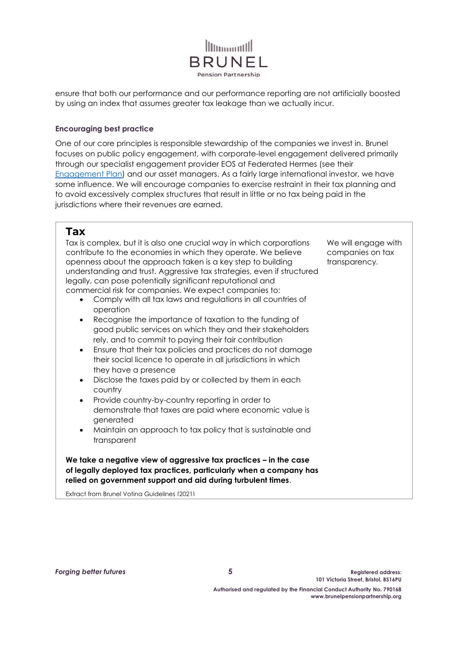

ensure that both our performance and our performance reporting are not artificially boosted by using an index that assumes greater tax leakage than we actually incur.

#### **Encouraging best practice**

One of our core principles is responsible stewardship of the companies we invest in. Brunel focuses on public policy engagement, with corporate-level engagement delivered primarily through our specialist engagement provider EOS at Federated Hermes (see their [Engagement Plan\)](https://www.brunelpensionpartnership.org/wp-content/uploads/2021/02/Eos-engagement-plan-2021-2023-public.pdf) and our asset managers. As a fairly large international investor, we have some influence. We will encourage companies to exercise restraint in their tax planning and to avoid excessively complex structures that result in little or no tax being paid in the jurisdictions where their revenues are earned.

#### **Tax**

Tax is complex, but it is also one crucial way in which corporations contribute to the economies in which they operate. We believe openness about the approach taken is a key step to building understanding and trust. Aggressive tax strategies, even if structured legally, can pose potentially significant reputational and commercial risk for companies. We expect companies to:

- Comply with all tax laws and regulations in all countries of operation
- Recognise the importance of taxation to the funding of good public services on which they and their stakeholders rely, and to commit to paying their fair contribution
- Ensure that their tax policies and practices do not damage their social licence to operate in all jurisdictions in which they have a presence
- Disclose the taxes paid by or collected by them in each country
- Provide country-by-country reporting in order to demonstrate that taxes are paid where economic value is generated
- Maintain an approach to tax policy that is sustainable and transparent

#### **We take a negative view of aggressive tax practices – in the case of legally deployed tax practices, particularly when a company has relied on government support and aid during turbulent times**.

Extract from Brunel Voting Guidelines (2021)

*Forging better futures* **5 Registered address:**

We will engage with companies on tax transparency.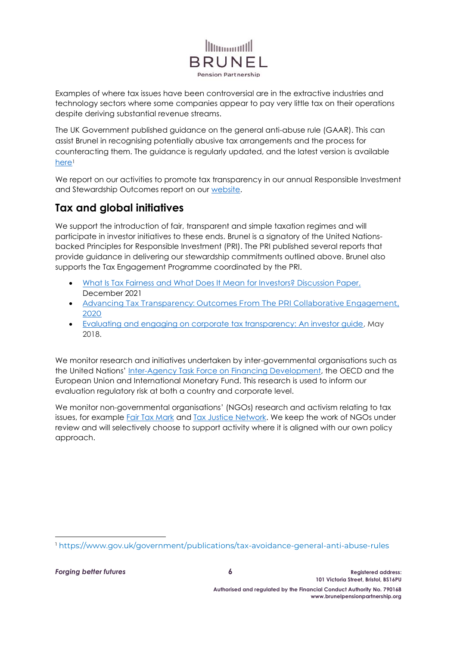

Examples of where tax issues have been controversial are in the extractive industries and technology sectors where some companies appear to pay very little tax on their operations despite deriving substantial revenue streams.

The UK Government published guidance on the general anti-abuse rule (GAAR). This can assist Brunel in recognising potentially abusive tax arrangements and the process for counteracting them. The guidance is regularly updated, and the latest version is available [here](https://www.gov.uk/government/publications/tax-avoidance-general-anti-abuse-rules)<sup>1</sup>

We report on our activities to promote tax transparency in our annual Responsible Investment and Stewardship Outcomes report on our [website.](https://www.brunelpensionpartnership.org/responsible-investment/)

## **Tax and global initiatives**

We support the introduction of fair, transparent and simple taxation regimes and will participate in investor initiatives to these ends. Brunel is a signatory of the United Nationsbacked Principles for Responsible Investment (PRI). The PRI published several reports that provide guidance in delivering our stewardship commitments outlined above. Brunel also supports the Tax Engagement Programme coordinated by the PRI.

- [What Is Tax Fairness and What Does It Mean for Investors? Discussion Paper,](https://www.unpri.org/download?ac=15325)  [December 2021](https://www.unpri.org/download?ac=15325)
- [Advancing Tax Transparency: Outcomes From The PRI Collaborative Engagement,](https://www.unpri.org/download?ac=10142)  [2020](https://www.unpri.org/download?ac=10142)
- [Evaluating and engaging on corporate tax transparency: An investor guide,](https://www.unpri.org/esg-issues/governance-issues/tax-avoidance) May 2018.

We monitor research and initiatives undertaken by inter-governmental organisations such as the United Nations' [Inter-Agency Task Force on Financing Development,](https://developmentfinance.un.org/international-efforts-combat-tax-avoidance-and-evasion) the OECD and the European Union and International Monetary Fund. This research is used to inform our evaluation regulatory risk at both a country and corporate level.

We monitor non-governmental organisations' (NGOs) research and activism relating to tax issues, for example [Fair Tax Mark](https://fairtaxmark.net/) and [Tax Justice Network.](https://www.taxjustice.net/) We keep the work of NGOs under review and will selectively choose to support activity where it is aligned with our own policy approach.

<sup>1</sup> https://www.gov.uk/government/publications/tax-avoidance-general-anti-abuse-rules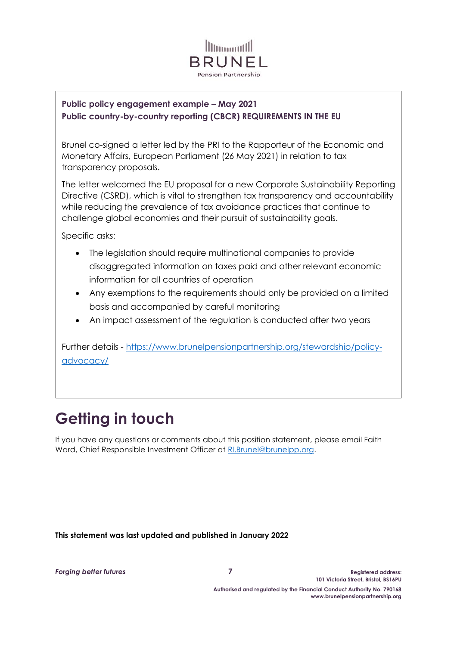

#### **Public policy engagement example – May 2021 Public country-by-country reporting (CBCR) REQUIREMENTS IN THE EU**

Brunel co-signed a letter led by the PRI to the Rapporteur of the Economic and Monetary Affairs, European Parliament (26 May 2021) in relation to tax transparency proposals.

The letter welcomed the EU proposal for a new Corporate Sustainability Reporting Directive (CSRD), which is vital to strengthen tax transparency and accountability while reducing the prevalence of tax avoidance practices that continue to challenge global economies and their pursuit of sustainability goals.

Specific asks:

- The legislation should require multinational companies to provide disaggregated information on taxes paid and other relevant economic information for all countries of operation
- Any exemptions to the requirements should only be provided on a limited basis and accompanied by careful monitoring
- An impact assessment of the regulation is conducted after two years

Further details - [https://www.brunelpensionpartnership.org/stewardship/policy](https://www.brunelpensionpartnership.org/stewardship/policy-advocacy/)[advocacy/](https://www.brunelpensionpartnership.org/stewardship/policy-advocacy/)

# **Getting in touch**

If you have any questions or comments about this position statement, please email Faith Ward, Chief Responsible Investment Officer at [RI.Brunel@brunelpp.org.](mailto:RI.Brunel@brunelpp.org)

**This statement was last updated and published in January 2022**